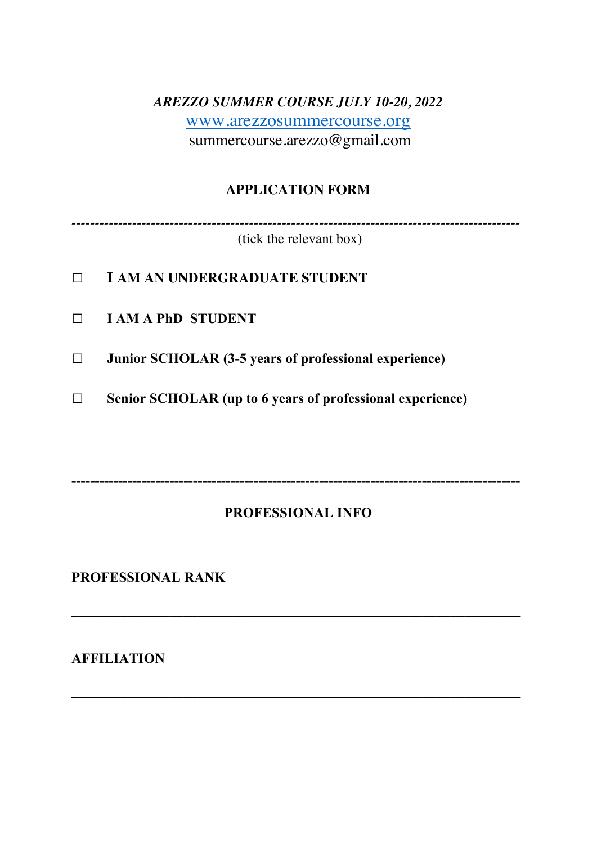# *AREZZO SUMMER COURSE JULY 10-20, 2022* www.arezzosummercourse.org summercourse.arezzo@gmail.com

## **APPLICATION FORM**

*------------------------------------------------------------------------------------------------*

(tick the relevant box)

- **□ <sup>I</sup>AM AN UNDERGRADUATE STUDENT**
- **□ I AM A PhD STUDENT**
- **□ Junior SCHOLAR (3-5 years of professional experience)**
- **□ Senior SCHOLAR (up to 6 years of professional experience)**

**------------------------------------------------------------------------------------------------**

## **PROFESSIONAL INFO**

**\_\_\_\_\_\_\_\_\_\_\_\_\_\_\_\_\_\_\_\_\_\_\_\_\_\_\_\_\_\_\_\_\_\_\_\_\_\_\_\_\_\_\_\_\_\_\_\_\_\_\_\_\_\_\_\_\_\_\_\_\_\_\_\_**

**\_\_\_\_\_\_\_\_\_\_\_\_\_\_\_\_\_\_\_\_\_\_\_\_\_\_\_\_\_\_\_\_\_\_\_\_\_\_\_\_\_\_\_\_\_\_\_\_\_\_\_\_\_\_\_\_\_\_\_\_\_\_\_\_**

**PROFESSIONAL RANK**

**AFFILIATION**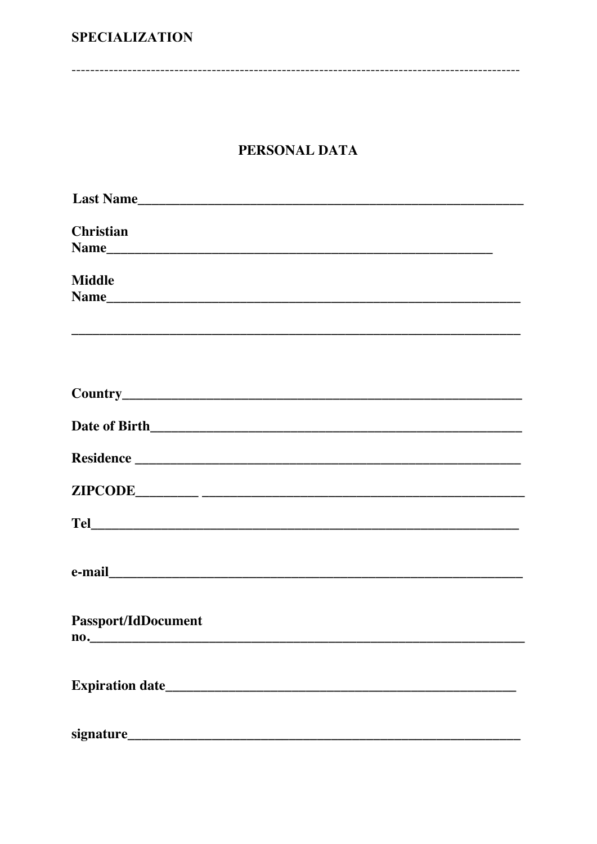## **SPECIALIZATION**

## PERSONAL DATA

| <b>Christian</b>           |
|----------------------------|
|                            |
| <b>Middle</b>              |
|                            |
|                            |
|                            |
|                            |
|                            |
|                            |
|                            |
|                            |
|                            |
|                            |
| <b>Passport/IdDocument</b> |
| $\mathbf{no.}$             |
|                            |
|                            |
|                            |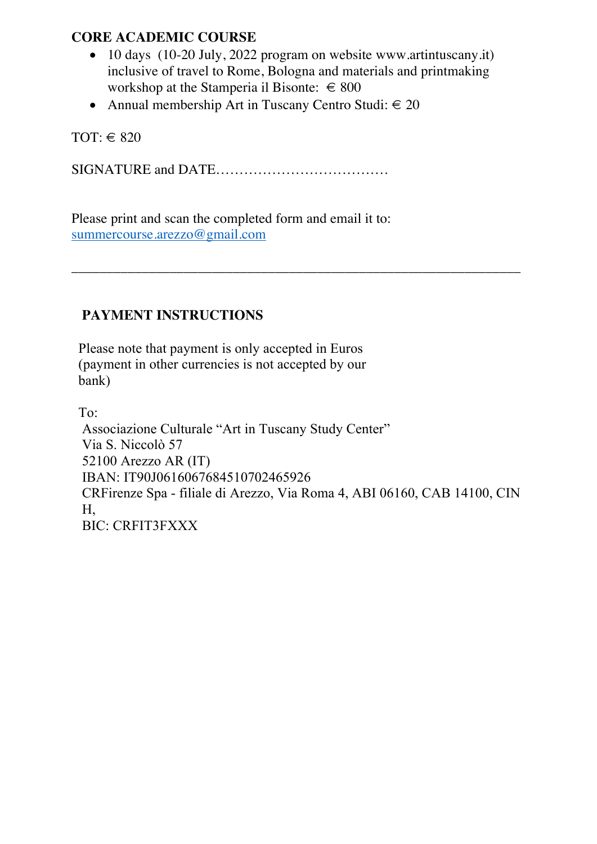## **CORE ACADEMIC COURSE**

• 10 days (10-20 July, 2022 program on website www.artintuscany.it) inclusive of travel to Rome, Bologna and materials and printmaking workshop at the Stamperia il Bisonte:  $\in$  800

\_\_\_\_\_\_\_\_\_\_\_\_\_\_\_\_\_\_\_\_\_\_\_\_\_\_\_\_\_\_\_\_\_\_\_\_\_\_\_\_\_\_\_\_\_\_\_\_\_\_\_\_\_\_\_\_\_\_\_\_\_\_\_\_

• Annual membership Art in Tuscany Centro Studi:  $\in 20$ 

TOT:  $\in$  820

SIGNATURE and DATE……………………………….

Please print and scan the completed form and email it to: summercourse.arezzo@gmail.com

## **PAYMENT INSTRUCTIONS**

Please note that payment is only accepted in Euros (payment in other currencies is not accepted by our bank)

To:

Associazione Culturale "Art in Tuscany Study Center" Via S. Niccolò 57 52100 Arezzo AR (IT) IBAN: IT90J0616067684510702465926 CRFirenze Spa - filiale di Arezzo, Via Roma 4, ABI 06160, CAB 14100, CIN H, BIC: CRFIT3FXXX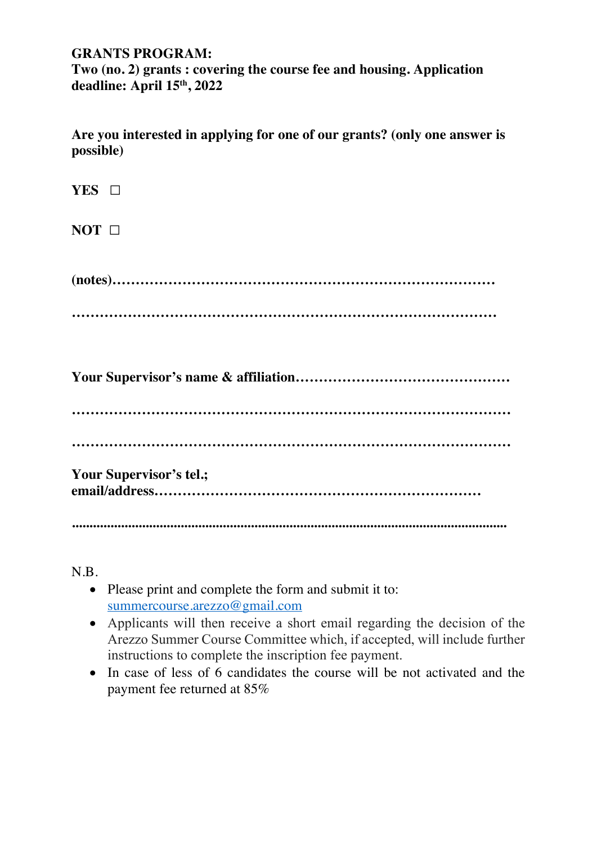#### **GRANTS PROGRAM:**

**Two (no. 2) grants : covering the course fee and housing. Application deadline: April 15th, 2022**

**Are you interested in applying for one of our grants? (only one answer is possible)**

| YES O                   |
|-------------------------|
| $NOT$ $\Box$            |
|                         |
|                         |
|                         |
|                         |
| Your Supervisor's tel.; |
|                         |
|                         |

N.B.

- Please print and complete the form and submit it to: summercourse.arezzo@gmail.com
- Applicants will then receive a short email regarding the decision of the Arezzo Summer Course Committee which, if accepted, will include further instructions to complete the inscription fee payment.
- In case of less of 6 candidates the course will be not activated and the payment fee returned at 85%